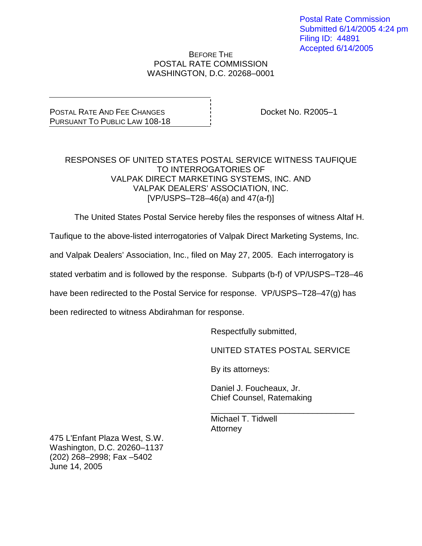Postal Rate Commission Submitted 6/14/2005 4:24 pm Filing ID: 44891 Accepted 6/14/2005

#### BEFORE THE POSTAL RATE COMMISSION WASHINGTON, D.C. 20268–0001

POSTAL RATE AND FEE CHANGES PURSUANT TO PUBLIC LAW 108-18 Docket No. R2005–1

#### RESPONSES OF UNITED STATES POSTAL SERVICE WITNESS TAUFIQUE TO INTERROGATORIES OF VALPAK DIRECT MARKETING SYSTEMS, INC. AND VALPAK DEALERS' ASSOCIATION, INC.  $[VP/USPS - T28 - 46(a)$  and  $47(a-f)]$

The United States Postal Service hereby files the responses of witness Altaf H.

Taufique to the above-listed interrogatories of Valpak Direct Marketing Systems, Inc.

and Valpak Dealers' Association, Inc., filed on May 27, 2005. Each interrogatory is

stated verbatim and is followed by the response. Subparts (b-f) of VP/USPS–T28–46

have been redirected to the Postal Service for response. VP/USPS–T28–47(g) has

been redirected to witness Abdirahman for response.

Respectfully submitted,

UNITED STATES POSTAL SERVICE

\_\_\_\_\_\_\_\_\_\_\_\_\_\_\_\_\_\_\_\_\_\_\_\_\_\_\_\_\_\_\_

By its attorneys:

Daniel J. Foucheaux, Jr. Chief Counsel, Ratemaking

Michael T. Tidwell **Attorney** 

475 L'Enfant Plaza West, S.W. Washington, D.C. 20260–1137 (202) 268–2998; Fax –5402 June 14, 2005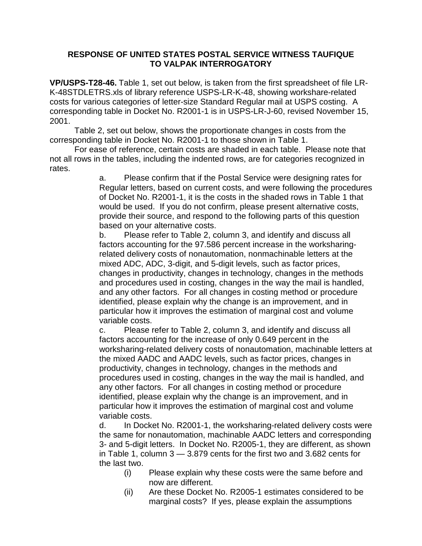**VP/USPS-T28-46.** Table 1, set out below, is taken from the first spreadsheet of file LR-K-48STDLETRS.xls of library reference USPS-LR-K-48, showing workshare-related costs for various categories of letter-size Standard Regular mail at USPS costing. A corresponding table in Docket No. R2001-1 is in USPS-LR-J-60, revised November 15, 2001.

 Table 2, set out below, shows the proportionate changes in costs from the corresponding table in Docket No. R2001-1 to those shown in Table 1.

 For ease of reference, certain costs are shaded in each table. Please note that not all rows in the tables, including the indented rows, are for categories recognized in rates.

> a. Please confirm that if the Postal Service were designing rates for Regular letters, based on current costs, and were following the procedures of Docket No. R2001-1, it is the costs in the shaded rows in Table 1 that would be used. If you do not confirm, please present alternative costs, provide their source, and respond to the following parts of this question based on your alternative costs.

 b. Please refer to Table 2, column 3, and identify and discuss all factors accounting for the 97.586 percent increase in the worksharingrelated delivery costs of nonautomation, nonmachinable letters at the mixed ADC, ADC, 3-digit, and 5-digit levels, such as factor prices, changes in productivity, changes in technology, changes in the methods and procedures used in costing, changes in the way the mail is handled, and any other factors. For all changes in costing method or procedure identified, please explain why the change is an improvement, and in particular how it improves the estimation of marginal cost and volume variable costs.

 c. Please refer to Table 2, column 3, and identify and discuss all factors accounting for the increase of only 0.649 percent in the worksharing-related delivery costs of nonautomation, machinable letters at the mixed AADC and AADC levels, such as factor prices, changes in productivity, changes in technology, changes in the methods and procedures used in costing, changes in the way the mail is handled, and any other factors. For all changes in costing method or procedure identified, please explain why the change is an improvement, and in particular how it improves the estimation of marginal cost and volume variable costs.

 d. In Docket No. R2001-1, the worksharing-related delivery costs were the same for nonautomation, machinable AADC letters and corresponding 3- and 5-digit letters. In Docket No. R2005-1, they are different, as shown in Table 1, column 3 — 3.879 cents for the first two and 3.682 cents for the last two.

- (i) Please explain why these costs were the same before and now are different.
- (ii) Are these Docket No. R2005-1 estimates considered to be marginal costs? If yes, please explain the assumptions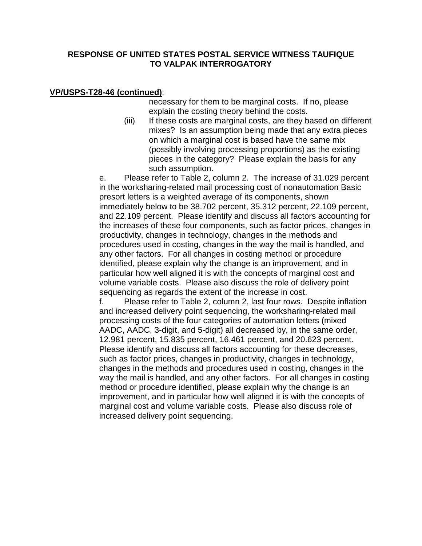### **VP/USPS-T28-46 (continued)**:

necessary for them to be marginal costs. If no, please explain the costing theory behind the costs.

 (iii) If these costs are marginal costs, are they based on different mixes? Is an assumption being made that any extra pieces on which a marginal cost is based have the same mix (possibly involving processing proportions) as the existing pieces in the category? Please explain the basis for any such assumption.

 e. Please refer to Table 2, column 2. The increase of 31.029 percent in the worksharing-related mail processing cost of nonautomation Basic presort letters is a weighted average of its components, shown immediately below to be 38.702 percent, 35.312 percent, 22.109 percent, and 22.109 percent. Please identify and discuss all factors accounting for the increases of these four components, such as factor prices, changes in productivity, changes in technology, changes in the methods and procedures used in costing, changes in the way the mail is handled, and any other factors. For all changes in costing method or procedure identified, please explain why the change is an improvement, and in particular how well aligned it is with the concepts of marginal cost and volume variable costs. Please also discuss the role of delivery point sequencing as regards the extent of the increase in cost.

 f. Please refer to Table 2, column 2, last four rows. Despite inflation and increased delivery point sequencing, the worksharing-related mail processing costs of the four categories of automation letters (mixed AADC, AADC, 3-digit, and 5-digit) all decreased by, in the same order, 12.981 percent, 15.835 percent, 16.461 percent, and 20.623 percent. Please identify and discuss all factors accounting for these decreases, such as factor prices, changes in productivity, changes in technology, changes in the methods and procedures used in costing, changes in the way the mail is handled, and any other factors. For all changes in costing method or procedure identified, please explain why the change is an improvement, and in particular how well aligned it is with the concepts of marginal cost and volume variable costs. Please also discuss role of increased delivery point sequencing.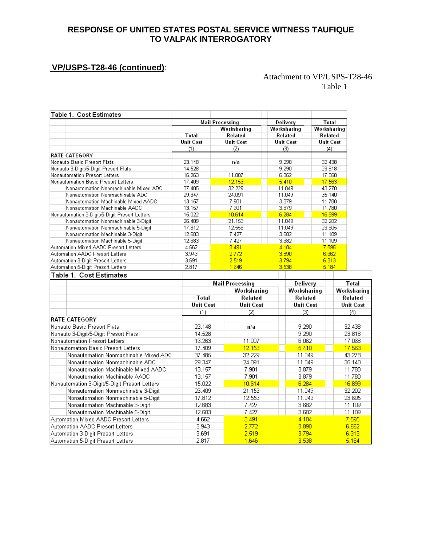## **VP/USPS-T28-46 (continued)**:

#### Attachment to VP/USPS-T28-46 Table 1

| Table 1. Cost Estimates                                                 |                  |                                                           |                  |             |                  |       |                  |                  |
|-------------------------------------------------------------------------|------------------|-----------------------------------------------------------|------------------|-------------|------------------|-------|------------------|------------------|
|                                                                         |                  | <b>Mail Processing</b>                                    |                  | Delivery    |                  | Total |                  |                  |
|                                                                         |                  |                                                           | Worksharing      |             | Worksharing      |       | Worksharing      |                  |
|                                                                         | Total            |                                                           | Related          |             | Related          |       | Related          |                  |
|                                                                         | <b>Unit Cost</b> |                                                           | <b>Unit Cost</b> |             | Unit Cost        |       | Unit Cost        |                  |
|                                                                         | (1)              |                                                           | (2)              |             | (3)              |       | (4)              |                  |
| <b>RATE CATEGORY</b>                                                    |                  |                                                           |                  |             |                  |       |                  |                  |
| Nonauto Basic Presort Flats                                             | 23.148           |                                                           | n/a              |             | 9.290            |       | 32.438           |                  |
| Nonauto 3-Digit/5-Digit Presort Flats                                   | 14.528           |                                                           |                  |             | 9.290            |       | 23.818           |                  |
| Nonautomation Presort Letters                                           | 16.263           |                                                           | 11.007           |             | 6.062            |       | 17.068           |                  |
| Nonautomation Basic Presort Letters                                     | 17.409           |                                                           | 12.153           |             | 5.410            |       | 17.563           |                  |
| Nonautomation Nonmachinable Mixed ADC                                   | 37.485           |                                                           | 32.229           |             | 11.049           |       | 43.278           |                  |
| Nonautomation Nonmachinable ADC                                         | 29.347           |                                                           | 24.091           |             | 11.049<br>3.879  |       | 35.140           |                  |
| Nonautomation Machinable Mixed AADC                                     | 13.157           |                                                           | 7.901            |             |                  |       | 11.780           |                  |
| Nonautomation Machinable AADC                                           | 13.157           |                                                           | 7.901            |             | 3.879            |       | 11.780           |                  |
| Nonautomation 3-Digit/5-Digit Presort Letters                           | 15.022           |                                                           | 10.614           |             | 6.284            |       | 16.899           |                  |
| Nonautomation Nonmachinable 3-Digit                                     | 26.409           |                                                           | 21.153           |             | 11.049           |       | 32.202           |                  |
| Nonautomation Nonmachinable 5-Digit<br>Nonautomation Machinable 3-Digit | 17.812<br>12.683 |                                                           | 12.556<br>7.427  |             | 11.049<br>3.682  |       | 23.605<br>11.109 |                  |
| Nonautomation Machinable 5-Digit                                        | 12.683           |                                                           | 7.427            |             | 3.682            |       | 11.109           |                  |
| Automation Mixed AADC Presort Letters                                   | 4.662            |                                                           | 3.491            |             | 4.104            |       | 7.595            |                  |
| Automation AADC Presort Letters                                         | 3.943            |                                                           | 2.772            |             | 3.890            |       | 6.662            |                  |
| Automation 3-Digit Presort Letters                                      | 3.691            |                                                           | 2.519            |             | 3.794            |       | 6.313            |                  |
| Automation 5-Digit Presort Letters                                      | 2.817            |                                                           | 1.646            |             | 3.538            |       | 5.184            |                  |
| Table 1. Cost Estimates                                                 |                  |                                                           |                  |             |                  |       |                  |                  |
|                                                                         |                  |                                                           |                  |             | Delivery         |       |                  | Total            |
|                                                                         |                  | <b>Mail Processing</b><br>Worksharing<br>Total<br>Related |                  | Worksharing |                  |       |                  | Worksharing      |
|                                                                         |                  |                                                           |                  | Related     |                  |       |                  | Related          |
|                                                                         | <b>Unit Cost</b> |                                                           | <b>Unit Cost</b> |             | <b>Unit Cost</b> |       |                  | <b>Unit Cost</b> |
|                                                                         | (1)              |                                                           | (2)              |             | (3)              |       |                  | (4)              |
| <b>RATE CATEGORY</b>                                                    |                  |                                                           |                  |             |                  |       |                  |                  |
| Nonauto Basic Presort Flats                                             | 23.148           |                                                           | n/a              |             | 9.290            |       |                  | 32.438           |
| Nonauto 3-Digit/5-Digit Presort Flats                                   | 14.528           |                                                           |                  |             | 9.290            |       |                  | 23.818           |
| Nonautomation Presort Letters                                           | 16.263           |                                                           | 11.007           |             | 6.062            |       |                  | 17.068           |
| Nonautomation Basic Presort Letters                                     | 17.409           |                                                           | 12.153           |             | 5.410            |       |                  | 17.563           |
| Nonautomation Nonmachinable Mixed ADC                                   | 37.485           |                                                           | 32.229           |             | 11.049           |       |                  | 43.278           |
|                                                                         | 29.347           |                                                           | 24.091           |             |                  |       |                  | 35.140           |
| Nonautomation Nonmachinable ADC                                         |                  |                                                           |                  |             | 11.049           |       |                  |                  |
| Nonautomation Machinable Mixed AADC                                     | 13.157           |                                                           | 7.901            |             | 3.879            |       |                  | 11.780           |
| Nonautomation Machinable AADC                                           | 13.157           |                                                           | 7.901            |             | 3.879            |       |                  | 11.780           |
| Nonautomation 3-Digit/5-Digit Presort Letters                           | 15.022           |                                                           | 10.614           |             | 6.284            |       |                  | 16.899           |
| Nonautomation Nonmachinable 3-Digit                                     | 26.409           |                                                           | 21.153           |             | 11.049           |       |                  | 32.202           |
| Nonautomation Nonmachinable 5-Digit                                     | 17.812           |                                                           | 12.556           |             | 11.049           |       |                  | 23.605           |
| Nonautomation Machinable 3-Digit                                        | 12.683           |                                                           | 7.427            |             | 3.682            |       |                  | 11.109           |
| Nonautomation Machinable 5-Digit                                        | 12.683           |                                                           | 7.427            |             | 3.682            |       |                  | 11.109           |
| Automation Mixed AADC Presort Letters                                   | 4.662            |                                                           | 3.491            |             | 4.104            |       |                  | 7.595            |
| Automation AADC Presort Letters                                         | 3.943            |                                                           | 2.772            |             | 3.890            |       |                  | 6.662            |
| Automation 3-Digit Presort Letters                                      | 3.691            |                                                           | 2.519            |             | 3.794            |       |                  | 6.313            |
| Automation 5-Digit Presort Letters                                      | 2.817            |                                                           | 1.646            |             | 3.538            |       |                  | 5.184            |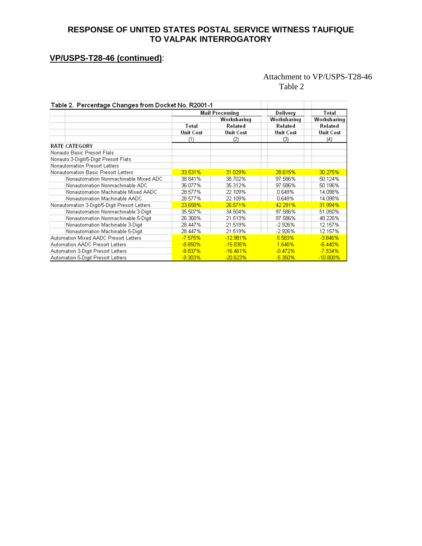# **VP/USPS-T28-46 (continued)**:

#### Attachment to VP/USPS-T28-46 Table 2

| Table 2. Percentage Changes from Docket No. R2001-1 |                  |                        |                  |                  |  |
|-----------------------------------------------------|------------------|------------------------|------------------|------------------|--|
|                                                     |                  | <b>Mail Processing</b> | Delivery         | Total            |  |
|                                                     |                  | Worksharing            | Worksharing      | Worksharing      |  |
|                                                     | Total            | Related                | Related          | Related          |  |
|                                                     | <b>Unit Cost</b> | Unit Cost              | <b>Unit Cost</b> | <b>Unit Cost</b> |  |
|                                                     | (1)              | (2)                    | (3)              | (4)              |  |
| <b>RATE CATEGORY</b>                                |                  |                        |                  |                  |  |
| Nonauto Basic Presort Flats                         |                  |                        |                  |                  |  |
| Nonauto 3-Digit/5-Digit Presort Flats               |                  |                        |                  |                  |  |
| Nonautomation Presort Letters                       |                  |                        |                  |                  |  |
| Nonautomation Basic Presort Letters                 | 33.531%          | 31.029%                | 28.615%          | 30.275%          |  |
| Nonautomation Nonmachinable Mixed ADC               | 38.841%          | 38.702%                | 97.586%          | 50.124%          |  |
| Nonautomation Nonmachinable ADC                     | 36.077%          | 35.312%                | 97.586%          | 50.196%          |  |
| Nonautomation Machinable Mixed AADC                 | 28.577%          | 22.109%                | 0.649%           | 14.098%          |  |
| Nonautomation Machinable AADC                       | 28.577%          | 22.109%                | 0.649%           | 14.098%          |  |
| Nonautomation 3-Digit/5-Digit Presort Letters       | 23.658%          | 26.571%                | 42.291%          | 31.994%          |  |
| Nonautomation Nonmachinable 3-Digit                 | 35.507%          | 34.504%                | 97.586%          | 51.050%          |  |
| Nonautomation Nonmachinable 5-Digit                 | 26.368%          | 21.513%                | 97.586%          | 48.226%          |  |
| Nonautomation Machinable 3-Digit                    | 28.447%          | 21.519%                | -2.926%          | 12.157%          |  |
| Nonautomation Machinable 5-Digit                    | 28.447%          | 21.519%                | $-2.926%$        | 12.157%          |  |
| Automation Mixed AADC Presort Letters               | $-7.575%$        | $-12.981%$             | 5.583%           | $-3.846%$        |  |
| Automation AADC Presort Letters                     | $-8.850%$        | $-15.835%$             | 1.646%           | $-6.440%$        |  |
| Automation 3-Digit Presort Letters                  | $-8.837%$        | $-16.461%$             | $-0.472%$        | $-7.534%$        |  |
| Automation 5-Digit Presort Letters                  | $-9.303%$        | $-20.623%$             | $-5.350%$        | $-10.800\%$      |  |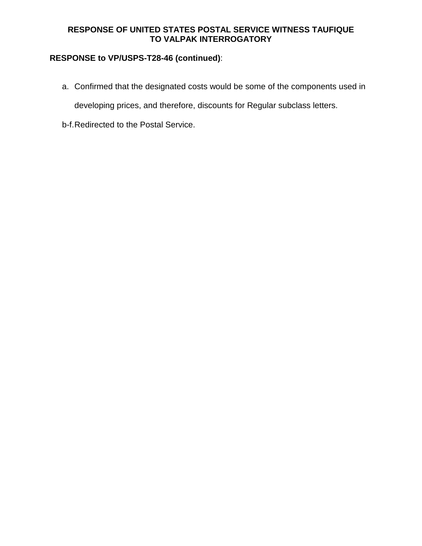# **RESPONSE to VP/USPS-T28-46 (continued)**:

a. Confirmed that the designated costs would be some of the components used in

developing prices, and therefore, discounts for Regular subclass letters.

b-f. Redirected to the Postal Service.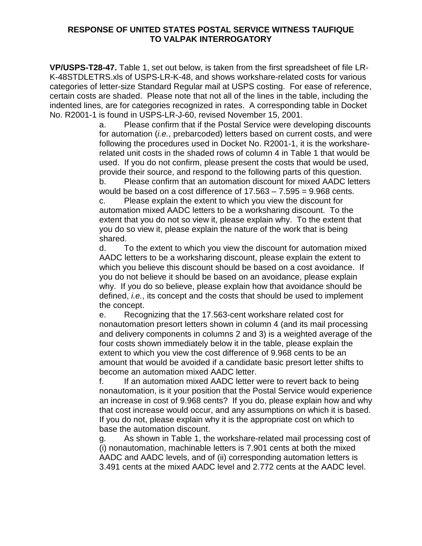**VP/USPS-T28-47.** Table 1, set out below, is taken from the first spreadsheet of file LR-K-48STDLETRS.xls of USPS-LR-K-48, and shows workshare-related costs for various categories of letter-size Standard Regular mail at USPS costing. For ease of reference, certain costs are shaded. Please note that not all of the lines in the table, including the indented lines, are for categories recognized in rates. A corresponding table in Docket No. R2001-1 is found in USPS-LR-J-60, revised November 15, 2001.

> a. Please confirm that if the Postal Service were developing discounts for automation (*i.e.*, prebarcoded) letters based on current costs, and were following the procedures used in Docket No. R2001-1, it is the worksharerelated unit costs in the shaded rows of column 4 in Table 1 that would be used. If you do not confirm, please present the costs that would be used, provide their source, and respond to the following parts of this question. b. Please confirm that an automation discount for mixed AADC letters would be based on a cost difference of  $17.563 - 7.595 = 9.968$  cents. c. Please explain the extent to which you view the discount for automation mixed AADC letters to be a worksharing discount. To the extent that you do not so view it, please explain why. To the extent that you do so view it, please explain the nature of the work that is being shared.

 d. To the extent to which you view the discount for automation mixed AADC letters to be a worksharing discount, please explain the extent to which you believe this discount should be based on a cost avoidance. If you do not believe it should be based on an avoidance, please explain why. If you do so believe, please explain how that avoidance should be defined, *i.e.*, its concept and the costs that should be used to implement the concept.

 e. Recognizing that the 17.563-cent workshare related cost for nonautomation presort letters shown in column 4 (and its mail processing and delivery components in columns 2 and 3) is a weighted average of the four costs shown immediately below it in the table, please explain the extent to which you view the cost difference of 9.968 cents to be an amount that would be avoided if a candidate basic presort letter shifts to become an automation mixed AADC letter.

 f. If an automation mixed AADC letter were to revert back to being nonautomation, is it your position that the Postal Service would experience an increase in cost of 9.968 cents? If you do, please explain how and why that cost increase would occur, and any assumptions on which it is based. If you do not, please explain why it is the appropriate cost on which to base the automation discount.

 g. As shown in Table 1, the workshare-related mail processing cost of (i) nonautomation, machinable letters is 7.901 cents at both the mixed AADC and AADC levels, and of (ii) corresponding automation letters is 3.491 cents at the mixed AADC level and 2.772 cents at the AADC level.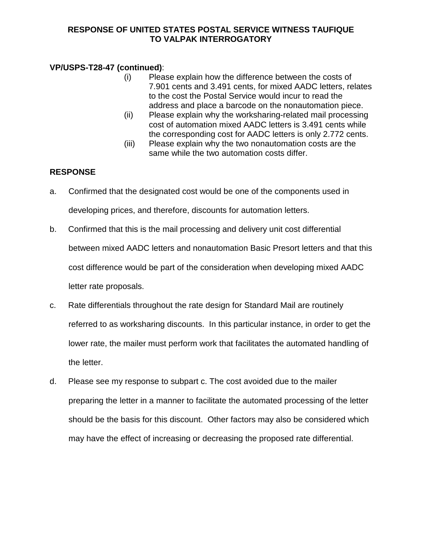## **VP/USPS-T28-47 (continued)**:

- (i) Please explain how the difference between the costs of 7.901 cents and 3.491 cents, for mixed AADC letters, relates to the cost the Postal Service would incur to read the address and place a barcode on the nonautomation piece.
- (ii) Please explain why the worksharing-related mail processing cost of automation mixed AADC letters is 3.491 cents while the corresponding cost for AADC letters is only 2.772 cents.
- (iii) Please explain why the two nonautomation costs are the same while the two automation costs differ.

## **RESPONSE**

- a. Confirmed that the designated cost would be one of the components used in developing prices, and therefore, discounts for automation letters.
- b. Confirmed that this is the mail processing and delivery unit cost differential between mixed AADC letters and nonautomation Basic Presort letters and that this cost difference would be part of the consideration when developing mixed AADC letter rate proposals.
- c. Rate differentials throughout the rate design for Standard Mail are routinely referred to as worksharing discounts. In this particular instance, in order to get the lower rate, the mailer must perform work that facilitates the automated handling of the letter.
- d. Please see my response to subpart c. The cost avoided due to the mailer preparing the letter in a manner to facilitate the automated processing of the letter should be the basis for this discount. Other factors may also be considered which may have the effect of increasing or decreasing the proposed rate differential.